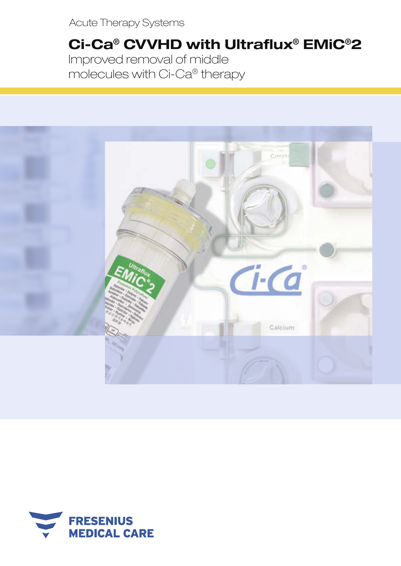Acute Therapy Systems

# Ci-Ca® CVVHD with Ultraflux® EMiC®2 Improved removal of middle molecules with Ci-Ca® therapy



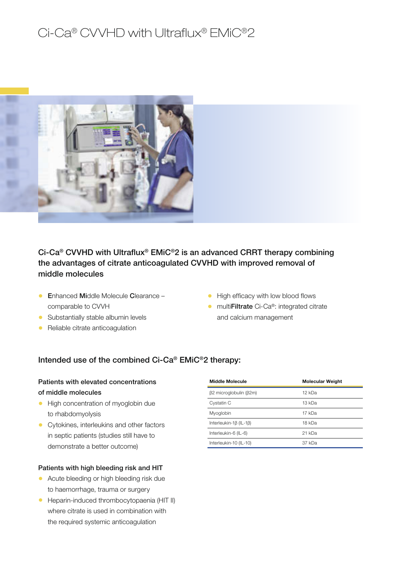## Ci-Ca® CVVHD with Ultraflux® EMiC®2



Ci-Ca<sup>®</sup> CVVHD with Ultraflux<sup>®</sup> EMiC<sup>®</sup>2 is an advanced CRRT therapy combining the advantages of citrate anticoagulated CVVHD with improved removal of middle molecules

- **Enhanced Middle Molecule Clearance** comparable to CVVH
- Substantially stable albumin levels
- Reliable citrate anticoagulation
- High efficacy with low blood flows
- multi**Filtrate** Ci-Ca®: integrated citrate and calcium management

#### Intended use of the combined Ci-Ca® EMiC®2 therapy:

### Patients with elevated concentrations of middle molecules

- High concentration of myoglobin due to rhabdomyolysis
- Cytokines, interleukins and other factors in septic patients (studies still have to demonstrate a better outcome)

#### Patients with high bleeding risk and HIT

- Acute bleeding or high bleeding risk due to haemorrhage, trauma or surgery
- Heparin-induced thrombocytopaenia (HIT II) where citrate is used in combination with the required systemic anticoagulation

| <b>Middle Molecule</b> | <b>Molecular Weight</b> |
|------------------------|-------------------------|
| β2 microglobulin (β2m) | 12 kDa                  |
| Cystatin C             | 13 kDa                  |
| Myoglobin              | 17 kDa                  |
| Interleukin-1β (IL-1β) | 18 kDa                  |
| Interleukin-6 (IL-6)   | 21 kDa                  |
| Interleukin-10 (IL-10) | 37 kDa                  |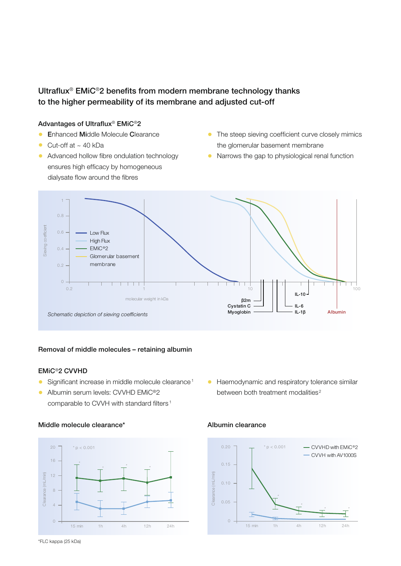## Ultraflux® EMiC®2 benefits from modern membrane technology thanks to the higher permeability of its membrane and adjusted cut-off

#### Advantages of Ultraflux® EMiC®2

- **Enhanced Middle Molecule Clearance**
- Cut-off at  $\sim$  40 kDa
- Advanced hollow fibre ondulation technology ensures high efficacy by homogeneous dialysate flow around the fibres
- The steep sieving coefficient curve closely mimics the glomerular basement membrane
- Narrows the gap to physiological renal function



#### Removal of middle molecules – retaining albumin

#### EMiC®2 CVVHD

- Significant increase in middle molecule clearance<sup>1</sup>
- Albumin serum levels: CVVHD EMiC<sup>®</sup>2 comparable to CVVH with standard filters <sup>1</sup>

#### Middle molecule clearance\*



• Haemodynamic and respiratory tolerance similar between both treatment modalities<sup>2</sup>

#### Albumin clearance

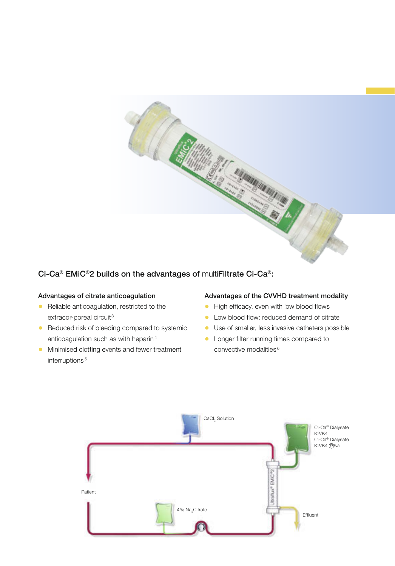

## Ci-Ca® EMiC®2 builds on the advantages of multiFiltrate Ci-Ca®:

#### Advantages of citrate anticoagulation

- Reliable anticoagulation, restricted to the extracor-poreal circuit<sup>3</sup>
- Reduced risk of bleeding compared to systemic anticoagulation such as with heparin <sup>4</sup>
- Minimised clotting events and fewer treatment interruptions<sup>5</sup>

#### Advantages of the CVVHD treatment modality

- High efficacy, even with low blood flows
- Low blood flow: reduced demand of citrate
- Use of smaller, less invasive catheters possible
- Longer filter running times compared to convective modalities <sup>6</sup>

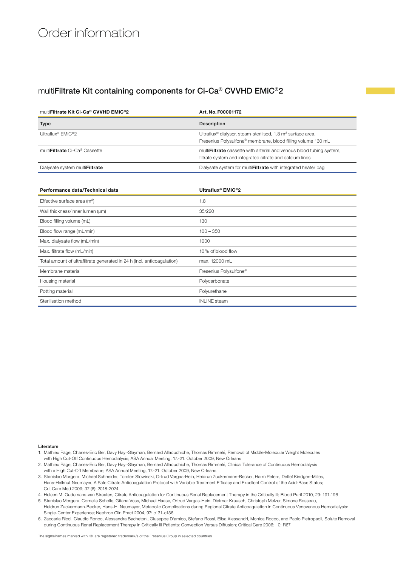## Order information

### multiFiltrate Kit containing components for Ci-Ca® CVVHD EMiC®2

| multiFiltrate Kit Ci-Ca® CVVHD EMiC®2  | Art. No. F00001172                                                                                                                                              |
|----------------------------------------|-----------------------------------------------------------------------------------------------------------------------------------------------------------------|
| <b>Type</b>                            | Description                                                                                                                                                     |
| Ultraflux <sup>®</sup> EMiC®2          | Ultraflux <sup>®</sup> dialyser, steam-sterilised, 1.8 m <sup>2</sup> surface area,<br>Fresenius Polysulfone <sup>®</sup> membrane, blood filling volume 130 mL |
| multi <b>Filtrate</b> Ci-Ca® Cassette  | multi <b>Filtrate</b> cassette with arterial and venous blood tubing system,<br>filtrate system and integrated citrate and calcium lines                        |
| Dialysate system multi <b>Filtrate</b> | Dialysate system for multi <b>Filtrate</b> with integrated heater bag                                                                                           |

| Performance data/Technical data                                         | Ultraflux <sup>®</sup> EMiC <sup>®</sup> 2 |
|-------------------------------------------------------------------------|--------------------------------------------|
| Effective surface area $(m2)$                                           | 1.8                                        |
| Wall thickness/inner lumen (µm)                                         | 35/220                                     |
| Blood filling volume (mL)                                               | 130                                        |
| Blood flow range (mL/min)                                               | $100 - 350$                                |
| Max. dialysate flow (mL/min)                                            | 1000                                       |
| Max. filtrate flow (mL/min)                                             | 10% of blood flow                          |
| Total amount of ultrafiltrate generated in 24 h (incl. anticoagulation) | max. 12000 mL                              |
| Membrane material                                                       | Fresenius Polysulfone <sup>®</sup>         |
| Housing material                                                        | Polycarbonate                              |
| Potting material                                                        | Polyurethane                               |
| Sterilisation method                                                    | <b>INLINE</b> steam                        |

**Literature** 

- 1. Mathieu Page, Charles-Eric Ber, Davy Hayi-Slayman, Bernard Allaouchiche, Thomas Rimmelé, Removal of Middle-Molecular Weight Molecules with High Cut-Off Continuous Hemodialysis; ASA Annual Meeting, 17.-21. October 2009, New Orleans
- 2. Mathieu Page, Charles-Eric Ber, Davy Hayi-Slayman, Bernard Allaouchiche, Thomas Rimmelé, Clinical Tolerance of Continuous Hemodialysis with a High Cut-Off Membrane; ASA Annual Meeting, 17.-21. October 2009, New Orleans
- 3. Stanislao Morgera, Michael Schneider, Torsten Slowinski, Ortrud Vargas-Hein, Heidrun Zuckermann-Becker, Harm Peters, Detlef Kindgen-Milles, Hans-Hellmut Neumayer, A Safe Citrate Anticoagulation Protocol with Variable Treatment Efficacy and Excellent Control of the Acid-Base Status; Crit Care Med 2009; 37 (6): 2018-2024
- 4. Heleen M. Oudemans-van Straaten, Citrate Anticoagulation for Continuous Renal Replacement Therapy in the Critically Ill; Blood Purif 2010, 29: 191-196
- 5. Stanislao Morgera, Cornelia Scholle, Gitana Voss, Michael Haase, Ortrud Vargas-Hein, Dietmar Krausch, Christoph Melzer, Simone Rosseau,
- Heidrun Zuckermann-Becker, Hans-H. Neumayer, Metabolic Complications during Regional Citrate Anticoagulation in Continuous Venovenous Hemodialysis: Single-Center Experience; Nephron Clin Pract 2004, 97: c131-c136
- 6. Zaccaria Ricci, Claudio Ronco, Alessandra Bachetoni, Giuseppe D'amico, Stefano Rossi, Elisa Alessandri, Monica Rocco, and Paolo Pietropaoli, Solute Removal during Continuous Renal Replacement Therapy in Critically Ill Patients: Convection Versus Diffusion; Critical Care 2006; 10: R67

The signs/names marked with '®' are registered trademark/s of the Fresenius Group in selected countries